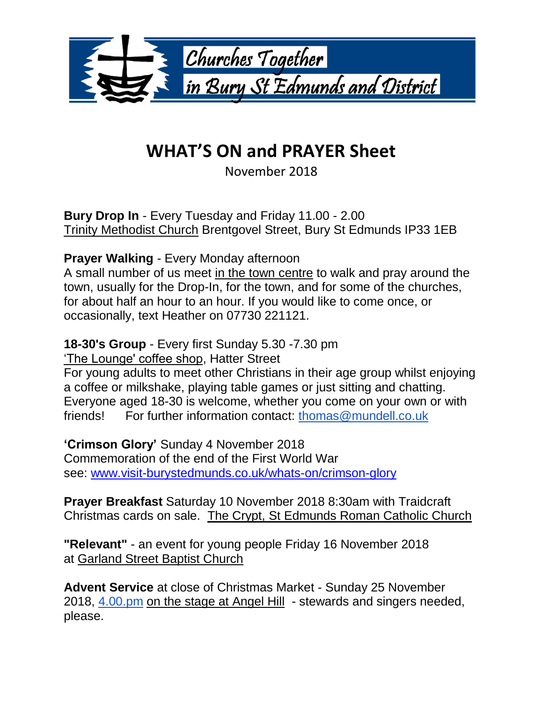

## **WHAT'S ON and PRAYER Sheet**

November 2018

**Bury Drop In** - Every Tuesday and Friday 11.00 - 2.00 Trinity Methodist Church Brentgovel Street, Bury St Edmunds IP33 1EB

## **Prayer Walking** - Every Monday afternoon

A small number of us meet in the town centre to walk and pray around the town, usually for the Drop-In, for the town, and for some of the churches, for about half an hour to an hour. If you would like to come once, or occasionally, text Heather on 07730 221121.

## **18-30's Group** - Every first Sunday 5.30 -7.30 pm

'The Lounge' coffee shop, Hatter Street

For young adults to meet other Christians in their age group whilst enjoying a coffee or milkshake, playing table games or just sitting and chatting. Everyone aged 18-30 is welcome, whether you come on your own or with friends! For further information contact: [thomas@mundell.co.uk](mailto:thomas@mundell.co.uk)

**'Crimson Glory'** Sunday 4 November 2018 Commemoration of the end of the First World War see: [www.visit-burystedmunds.co.uk/whats-on/crimson-glory](http://www.visit-burystedmunds.co.uk/whats-on/crimson-glory)

**Prayer Breakfast** Saturday 10 November 2018 8:30am with Traidcraft Christmas cards on sale. The Crypt, St Edmunds Roman Catholic Church

**"Relevant"** - an event for young people Friday 16 November 2018 at Garland Street Baptist Church

**Advent Service** at close of Christmas Market - Sunday 25 November 2018, [4.00.pm](http://4.00.pm/) on the stage at Angel Hill - stewards and singers needed, please.